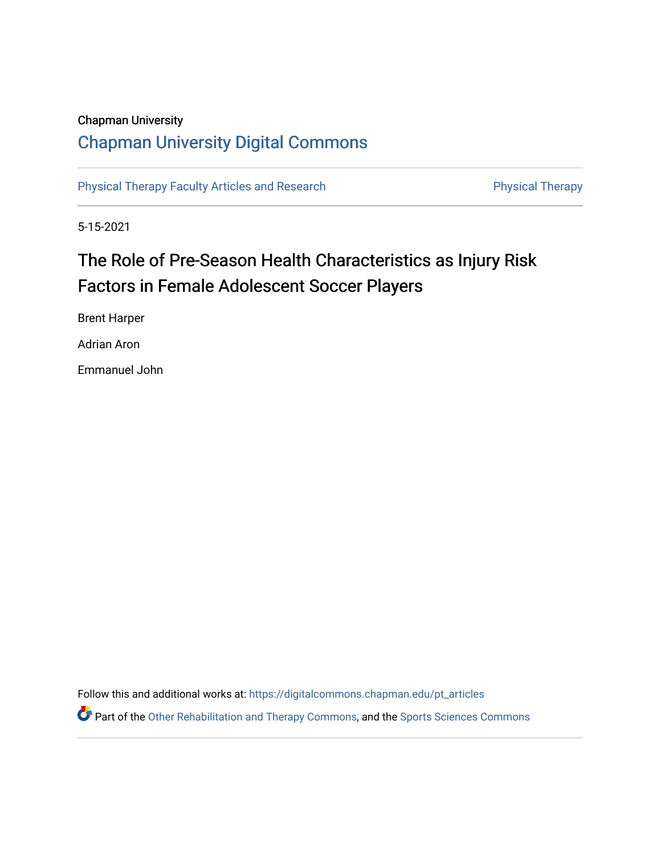## Chapman University

## [Chapman University Digital Commons](https://digitalcommons.chapman.edu/)

[Physical Therapy Faculty Articles and Research](https://digitalcommons.chapman.edu/pt_articles) **Physical Therapy** Physical Therapy

5-15-2021

# The Role of Pre-Season Health Characteristics as Injury Risk Factors in Female Adolescent Soccer Players

Brent Harper

Adrian Aron

Emmanuel John

Follow this and additional works at: [https://digitalcommons.chapman.edu/pt\\_articles](https://digitalcommons.chapman.edu/pt_articles?utm_source=digitalcommons.chapman.edu%2Fpt_articles%2F157&utm_medium=PDF&utm_campaign=PDFCoverPages) 

Part of the [Other Rehabilitation and Therapy Commons,](http://network.bepress.com/hgg/discipline/758?utm_source=digitalcommons.chapman.edu%2Fpt_articles%2F157&utm_medium=PDF&utm_campaign=PDFCoverPages) and the [Sports Sciences Commons](http://network.bepress.com/hgg/discipline/759?utm_source=digitalcommons.chapman.edu%2Fpt_articles%2F157&utm_medium=PDF&utm_campaign=PDFCoverPages)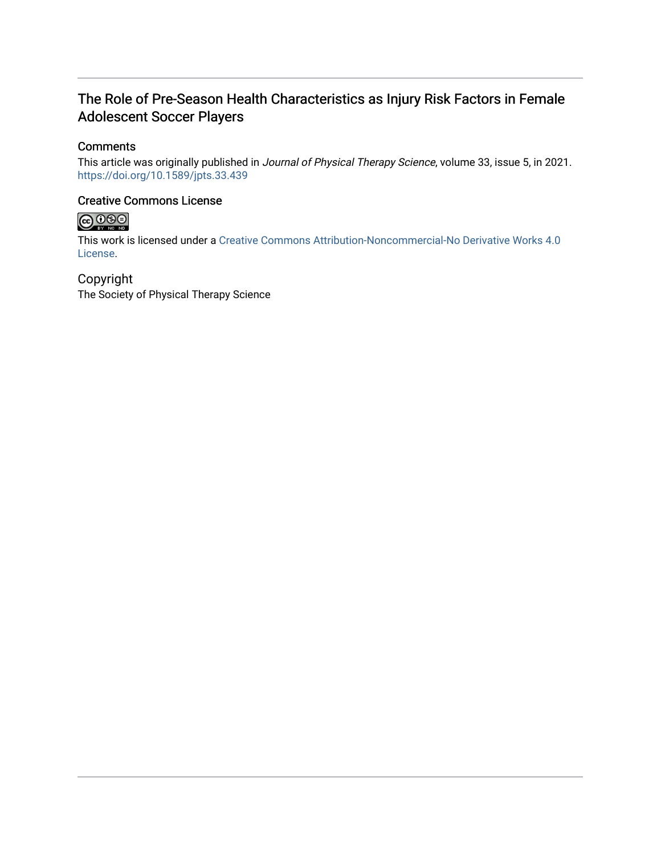## The Role of Pre-Season Health Characteristics as Injury Risk Factors in Female Adolescent Soccer Players

### **Comments**

This article was originally published in Journal of Physical Therapy Science, volume 33, issue 5, in 2021. <https://doi.org/10.1589/jpts.33.439>

### Creative Commons License



This work is licensed under a [Creative Commons Attribution-Noncommercial-No Derivative Works 4.0](https://creativecommons.org/licenses/by-nc-nd/4.0/) [License](https://creativecommons.org/licenses/by-nc-nd/4.0/).

### Copyright

The Society of Physical Therapy Science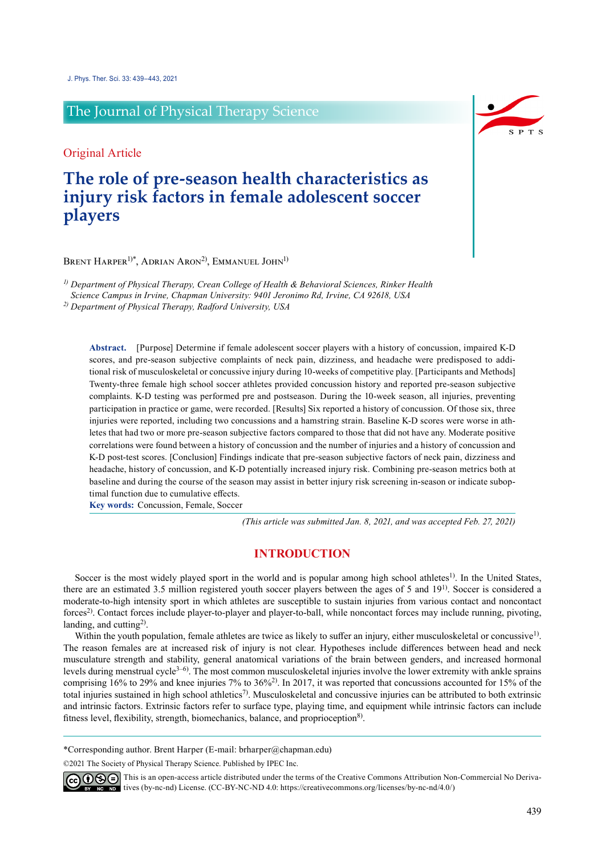## The Journal of Physical Therapy Science

Original Article

## **The role of pre-season health characteristics as injury risk factors in female adolescent soccer players**

BRENT HARPER<sup>1)\*</sup>, ADRIAN ARON<sup>2)</sup>, EMMANUEL JOHN<sup>1)</sup>

*1) Department of Physical Therapy, Crean College of Health & Behavioral Sciences, Rinker Health* 

*Science Campus in Irvine, Chapman University: 9401 Jeronimo Rd, Irvine, CA 92618, USA*

*2) Department of Physical Therapy, Radford University, USA*

**Abstract.** [Purpose] Determine if female adolescent soccer players with a history of concussion, impaired K-D scores, and pre-season subjective complaints of neck pain, dizziness, and headache were predisposed to additional risk of musculoskeletal or concussive injury during 10-weeks of competitive play. [Participants and Methods] Twenty-three female high school soccer athletes provided concussion history and reported pre-season subjective complaints. K-D testing was performed pre and postseason. During the 10-week season, all injuries, preventing participation in practice or game, were recorded. [Results] Six reported a history of concussion. Of those six, three injuries were reported, including two concussions and a hamstring strain. Baseline K-D scores were worse in athletes that had two or more pre-season subjective factors compared to those that did not have any. Moderate positive correlations were found between a history of concussion and the number of injuries and a history of concussion and K-D post-test scores. [Conclusion] Findings indicate that pre-season subjective factors of neck pain, dizziness and headache, history of concussion, and K-D potentially increased injury risk. Combining pre-season metrics both at baseline and during the course of the season may assist in better injury risk screening in-season or indicate suboptimal function due to cumulative effects.

**Key words:** Concussion, Female, Soccer

*(This article was submitted Jan. 8, 2021, and was accepted Feb. 27, 2021)*

### **INTRODUCTION**

Soccer is the most widely played sport in the world and is popular among high school athletes<sup>1)</sup>. In the United States, there are an estimated 3.5 million registered youth soccer players between the ages of 5 and  $19<sup>1</sup>$  $19<sup>1</sup>$ . Soccer is considered a moderate-to-high intensity sport in which athletes are susceptible to sustain injuries from various contact and noncontact forces<sup>[2\)](#page-6-1)</sup>. Contact forces include player-to-player and player-to-ball, while noncontact forces may include running, pivoting, landing, and cutting<sup>2)</sup>.

Within the youth population, female athletes are twice as likely to suffer an injury, either musculoskeletal or concussive<sup>[1](#page-6-0))</sup>. The reason females are at increased risk of injury is not clear. Hypotheses include differences between head and neck musculature strength and stability, general anatomical variations of the brain between genders, and increased hormonal levels during menstrual cycle<sup>3–6)</sup>. The most common musculoskeletal injuries involve the lower extremity with ankle sprains comprising  $16\%$  to 29% and knee injuries 7% to  $36\%$ <sup>2</sup>. In 2017, it was reported that concussions accounted for 15% of the total injuries sustained in high school athletics<sup>7</sup>. Musculoskeletal and concussive injuries can be attributed to both extrinsic and intrinsic factors. Extrinsic factors refer to surface type, playing time, and equipment while intrinsic factors can include fitness level, flexibility, strength, biomechanics, balance, and proprioception<sup>[8\)](#page-6-4)</sup>.

\*Corresponding author. Brent Harper (E-mail: brharper@chapman.edu)

©2021 The Society of Physical Therapy Science. Published by IPEC Inc.



 $\widehat{\mathbb{G}(\mathbf{0})}$  This is an open-access article distributed under the terms of the Creative Commons Attribution Non-Commercial No Derivatives (by-nc-nd) License. (CC-BY-NC-ND 4.0:<https://creativecommons.org/licenses/by-nc-nd/4.0/>)

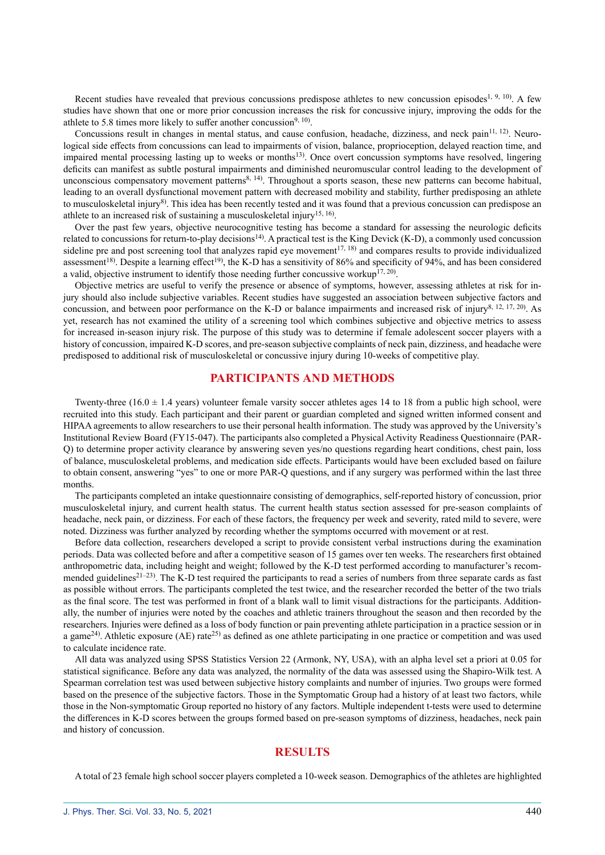Recent studies have revealed that previous concussions predispose athletes to new concussion episodes<sup>[1, 9, 10](#page-6-0)</sup>. A few studies have shown that one or more prior concussion increases the risk for concussive injury, improving the odds for the athlete to 5.8 times more likely to suffer another concussion<sup>[9, 10](#page-6-5)</sup>.

Concussions result in changes in mental status, and cause confusion, headache, dizziness, and neck pain<sup>11, 12</sup>). Neurological side effects from concussions can lead to impairments of vision, balance, proprioception, delayed reaction time, and impaired mental processing lasting up to weeks or months<sup>13</sup>. Once overt concussion symptoms have resolved, lingering deficits can manifest as subtle postural impairments and diminished neuromuscular control leading to the development of unconscious compensatory movement patterns $8, 14$ ). Throughout a sports season, these new patterns can become habitual, leading to an overall dysfunctional movement pattern with decreased mobility and stability, further predisposing an athlete to musculoskeletal injury<sup>8)</sup>. This idea has been recently tested and it was found that a previous concussion can predispose an athlete to an increased risk of sustaining a musculoskeletal injury<sup>15, 16</sup>.

Over the past few years, objective neurocognitive testing has become a standard for assessing the neurologic deficits related to concussions for return-to-play decisions<sup>[14\)](#page-6-9)</sup>. A practical test is the King Devick (K-D), a commonly used concussion sideline pre and post screening tool that analyzes rapid eye movement<sup>17, 18</sup>) and compares results to provide individualized assessment<sup>[18](#page-6-11))</sup>. Despite a learning effect<sup>[19](#page-6-12)</sup>, the K-D has a sensitivity of 86% and specificity of 94%, and has been considered a valid, objective instrument to identify those needing further concussive workup<sup>[17, 20](#page-6-10)</sup>).

Objective metrics are useful to verify the presence or absence of symptoms, however, assessing athletes at risk for injury should also include subjective variables. Recent studies have suggested an association between subjective factors and concussion, and between poor performance on the K-D or balance impairments and increased risk of injury<sup>[8, 12, 17, 20](#page-6-4)</sup>). As yet, research has not examined the utility of a screening tool which combines subjective and objective metrics to assess for increased in-season injury risk. The purpose of this study was to determine if female adolescent soccer players with a history of concussion, impaired K-D scores, and pre-season subjective complaints of neck pain, dizziness, and headache were predisposed to additional risk of musculoskeletal or concussive injury during 10-weeks of competitive play.

### **PARTICIPANTS AND METHODS**

Twenty-three  $(16.0 \pm 1.4$  years) volunteer female varsity soccer athletes ages 14 to 18 from a public high school, were recruited into this study. Each participant and their parent or guardian completed and signed written informed consent and HIPAA agreements to allow researchers to use their personal health information. The study was approved by the University's Institutional Review Board (FY15-047). The participants also completed a Physical Activity Readiness Questionnaire (PAR-Q) to determine proper activity clearance by answering seven yes/no questions regarding heart conditions, chest pain, loss of balance, musculoskeletal problems, and medication side effects. Participants would have been excluded based on failure to obtain consent, answering "yes" to one or more PAR-Q questions, and if any surgery was performed within the last three months.

The participants completed an intake questionnaire consisting of demographics, self-reported history of concussion, prior musculoskeletal injury, and current health status. The current health status section assessed for pre-season complaints of headache, neck pain, or dizziness. For each of these factors, the frequency per week and severity, rated mild to severe, were noted. Dizziness was further analyzed by recording whether the symptoms occurred with movement or at rest.

Before data collection, researchers developed a script to provide consistent verbal instructions during the examination periods. Data was collected before and after a competitive season of 15 games over ten weeks. The researchers first obtained anthropometric data, including height and weight; followed by the K-D test performed according to manufacturer's recom-mended guidelines<sup>[21–23\)](#page-6-13)</sup>. The K-D test required the participants to read a series of numbers from three separate cards as fast as possible without errors. The participants completed the test twice, and the researcher recorded the better of the two trials as the final score. The test was performed in front of a blank wall to limit visual distractions for the participants. Additionally, the number of injuries were noted by the coaches and athletic trainers throughout the season and then recorded by the researchers. Injuries were defined as a loss of body function or pain preventing athlete participation in a practice session or in a game<sup>[24](#page-6-14)</sup>). Athletic exposure (AE) rate<sup>25)</sup> as defined as one athlete participating in one practice or competition and was used to calculate incidence rate.

All data was analyzed using SPSS Statistics Version 22 (Armonk, NY, USA), with an alpha level set a priori at 0.05 for statistical significance. Before any data was analyzed, the normality of the data was assessed using the Shapiro-Wilk test. A Spearman correlation test was used between subjective history complaints and number of injuries. Two groups were formed based on the presence of the subjective factors. Those in the Symptomatic Group had a history of at least two factors, while those in the Non-symptomatic Group reported no history of any factors. Multiple independent t-tests were used to determine the differences in K-D scores between the groups formed based on pre-season symptoms of dizziness, headaches, neck pain and history of concussion.

### **RESULTS**

A total of 23 female high school soccer players completed a 10-week season. Demographics of the athletes are highlighted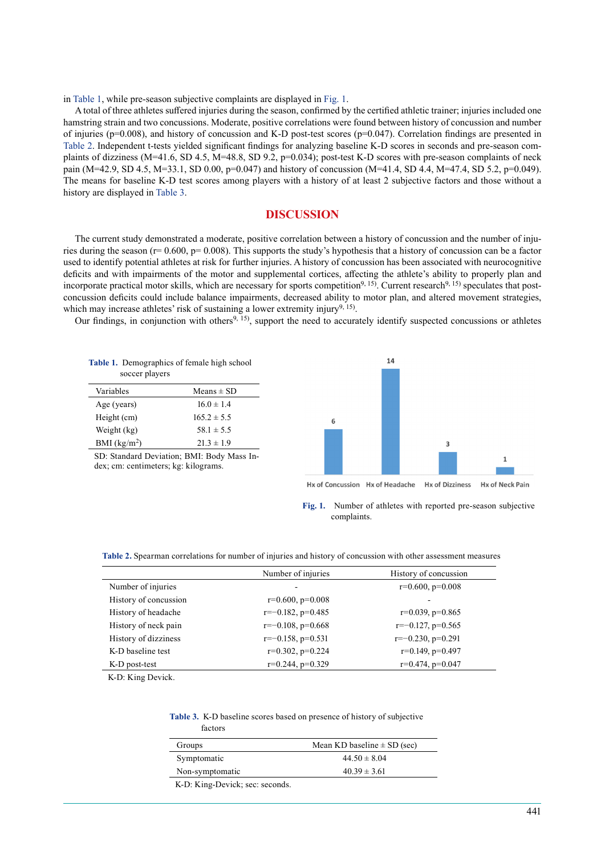in Table 1, while pre-season subjective complaints are displayed in Fig. 1.

A total of three athletes suffered injuries during the season, confirmed by the certified athletic trainer; injuries included one hamstring strain and two concussions. Moderate, positive correlations were found between history of concussion and number of injuries ( $p=0.008$ ), and history of concussion and K-D post-test scores ( $p=0.047$ ). Correlation findings are presented in Table 2. Independent t-tests yielded significant findings for analyzing baseline K-D scores in seconds and pre-season complaints of dizziness (M=41.6, SD 4.5, M=48.8, SD 9.2, p=0.034); post-test K-D scores with pre-season complaints of neck pain (M=42.9, SD 4.5, M=33.1, SD 0.00, p=0.047) and history of concussion (M=41.4, SD 4.4, M=47.4, SD 5.2, p=0.049). The means for baseline K-D test scores among players with a history of at least 2 subjective factors and those without a history are displayed in Table 3.

### **DISCUSSION**

The current study demonstrated a moderate, positive correlation between a history of concussion and the number of injuries during the season ( $r= 0.600$ ,  $p= 0.008$ ). This supports the study's hypothesis that a history of concussion can be a factor used to identify potential athletes at risk for further injuries. A history of concussion has been associated with neurocognitive deficits and with impairments of the motor and supplemental cortices, affecting the athlete's ability to properly plan and incorporate practical motor skills, which are necessary for sports competition<sup>9, 15</sup>). Current research<sup>9, 15</sup>) speculates that postconcussion deficits could include balance impairments, decreased ability to motor plan, and altered movement strategies, which may increase athletes' risk of sustaining a lower extremity injury<sup>[9, 15](#page-6-5)</sup>).

Our findings, in conjunction with others<sup>[9, 15](#page-6-5)</sup>), support the need to accurately identify suspected concussions or athletes

| Table 1. Demographics of female high school<br>soccer players |                 |  |
|---------------------------------------------------------------|-----------------|--|
| Variables                                                     | Means $\pm$ SD  |  |
| Age (years)                                                   | $16.0 \pm 1.4$  |  |
| Height (cm)                                                   | $165.2 \pm 5.5$ |  |

Weight (kg)  $58.1 \pm 5.5$ BMI (kg/m<sup>2</sup>)  $21.3 \pm 1.9$ 

| SD: Standard Deviation; BMI: Body Mass In- |  |
|--------------------------------------------|--|
| dex; cm: centimeters; kg: kilograms.       |  |



**Fig. 1.** Number of athletes with reported pre-season subjective complaints.

**Table 2.** Spearman correlations for number of injuries and history of concussion with other assessment measures

|                       | Number of injuries     | History of concussion  |
|-----------------------|------------------------|------------------------|
| Number of injuries    |                        | $r=0.600, p=0.008$     |
| History of concussion | $r=0.600, p=0.008$     |                        |
| History of headache   | $r=-0.182$ , $p=0.485$ | $r=0.039$ , $p=0.865$  |
| History of neck pain  | $r=-0.108$ , $p=0.668$ | $r=-0.127$ , $p=0.565$ |
| History of dizziness  | $r=-0.158$ , $p=0.531$ | $r=-0.230, p=0.291$    |
| K-D baseline test     | $r=0.302$ , $p=0.224$  | $r=0.149$ , $p=0.497$  |
| K-D post-test         | $r=0.244$ , $p=0.329$  | $r=0.474$ , $p=0.047$  |

K-D: King Devick.

**Table 3.** K-D baseline scores based on presence of history of subjective factors

| Groups          | Mean KD baseline $\pm$ SD (sec) |
|-----------------|---------------------------------|
| Symptomatic     | $44.50 \pm 8.04$                |
| Non-symptomatic | $40.39 \pm 3.61$                |
| .               |                                 |

K-D: King-Devick; sec: seconds.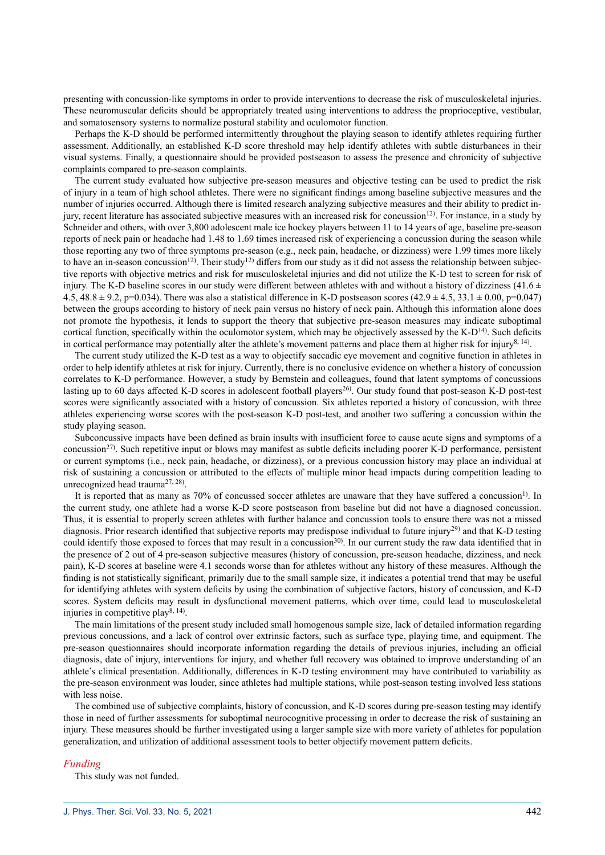presenting with concussion-like symptoms in order to provide interventions to decrease the risk of musculoskeletal injuries. These neuromuscular deficits should be appropriately treated using interventions to address the proprioceptive, vestibular, and somatosensory systems to normalize postural stability and oculomotor function.

Perhaps the K-D should be performed intermittently throughout the playing season to identify athletes requiring further assessment. Additionally, an established K-D score threshold may help identify athletes with subtle disturbances in their visual systems. Finally, a questionnaire should be provided postseason to assess the presence and chronicity of subjective complaints compared to pre-season complaints.

The current study evaluated how subjective pre-season measures and objective testing can be used to predict the risk of injury in a team of high school athletes. There were no significant findings among baseline subjective measures and the number of injuries occurred. Although there is limited research analyzing subjective measures and their ability to predict injury, recent literature has associated subjective measures with an increased risk for concussion<sup>12)</sup>. For instance, in a study by Schneider and others, with over 3,800 adolescent male ice hockey players between 11 to 14 years of age, baseline pre-season reports of neck pain or headache had 1.48 to 1.69 times increased risk of experiencing a concussion during the season while those reporting any two of three symptoms pre-season (e.g., neck pain, headache, or dizziness) were 1.99 times more likely to have an in-season concussion<sup>12)</sup>. Their study<sup>12</sup> differs from our study as it did not assess the relationship between subjective reports with objective metrics and risk for musculoskeletal injuries and did not utilize the K-D test to screen for risk of injury. The K-D baseline scores in our study were different between athletes with and without a history of dizziness (41.6  $\pm$ 4.5, 48.8  $\pm$  9.2, p=0.034). There was also a statistical difference in K-D postseason scores (42.9  $\pm$  4.5, 33.1  $\pm$  0.00, p=0.047) between the groups according to history of neck pain versus no history of neck pain. Although this information alone does not promote the hypothesis, it lends to support the theory that subjective pre-season measures may indicate suboptimal cortical function, specifically within the oculomotor system, which may be objectively assessed by the  $K-D<sup>14</sup>$  $K-D<sup>14</sup>$  $K-D<sup>14</sup>$ . Such deficits in cortical performance may potentially alter the athlete's movement patterns and place them at higher risk for injury<sup>[8, 14](#page-6-4)</sup>).

The current study utilized the K-D test as a way to objectify saccadic eye movement and cognitive function in athletes in order to help identify athletes at risk for injury. Currently, there is no conclusive evidence on whether a history of concussion correlates to K-D performance. However, a study by Bernstein and colleagues, found that latent symptoms of concussions lasting up to 60 days affected K-D scores in adolescent football players<sup>26</sup>). Our study found that post-season K-D post-test scores were significantly associated with a history of concussion. Six athletes reported a history of concussion, with three athletes experiencing worse scores with the post-season K-D post-test, and another two suffering a concussion within the study playing season.

Subconcussive impacts have been defined as brain insults with insufficient force to cause acute signs and symptoms of a concussion<sup>[27](#page-6-18))</sup>. Such repetitive input or blows may manifest as subtle deficits including poorer K-D performance, persistent or current symptoms (i.e., neck pain, headache, or dizziness), or a previous concussion history may place an individual at risk of sustaining a concussion or attributed to the effects of multiple minor head impacts during competition leading to unrecognized head trauma<sup>[27, 28](#page-6-18)</sup>).

It is reported that as many as 70% of concussed soccer athletes are unaware that they have suffered a concussion<sup>[1](#page-6-0))</sup>. In the current study, one athlete had a worse K-D score postseason from baseline but did not have a diagnosed concussion. Thus, it is essential to properly screen athletes with further balance and concussion tools to ensure there was not a missed diagnosis. Prior research identified that subjective reports may predispose individual to future injury<sup>29</sup> and that K-D testing could identify those exposed to forces that may result in a concussion<sup>[30](#page-6-20)</sup>. In our current study the raw data identified that in the presence of 2 out of 4 pre-season subjective measures (history of concussion, pre-season headache, dizziness, and neck pain), K-D scores at baseline were 4.1 seconds worse than for athletes without any history of these measures. Although the finding is not statistically significant, primarily due to the small sample size, it indicates a potential trend that may be useful for identifying athletes with system deficits by using the combination of subjective factors, history of concussion, and K-D scores. System deficits may result in dysfunctional movement patterns, which over time, could lead to musculoskeletal injuries in competitive play<sup>8, 14</sup>).

The main limitations of the present study included small homogenous sample size, lack of detailed information regarding previous concussions, and a lack of control over extrinsic factors, such as surface type, playing time, and equipment. The pre-season questionnaires should incorporate information regarding the details of previous injuries, including an official diagnosis, date of injury, interventions for injury, and whether full recovery was obtained to improve understanding of an athlete's clinical presentation. Additionally, differences in K-D testing environment may have contributed to variability as the pre-season environment was louder, since athletes had multiple stations, while post-season testing involved less stations with less noise.

The combined use of subjective complaints, history of concussion, and K-D scores during pre-season testing may identify those in need of further assessments for suboptimal neurocognitive processing in order to decrease the risk of sustaining an injury. These measures should be further investigated using a larger sample size with more variety of athletes for population generalization, and utilization of additional assessment tools to better objectify movement pattern deficits.

#### *Funding*

This study was not funded.